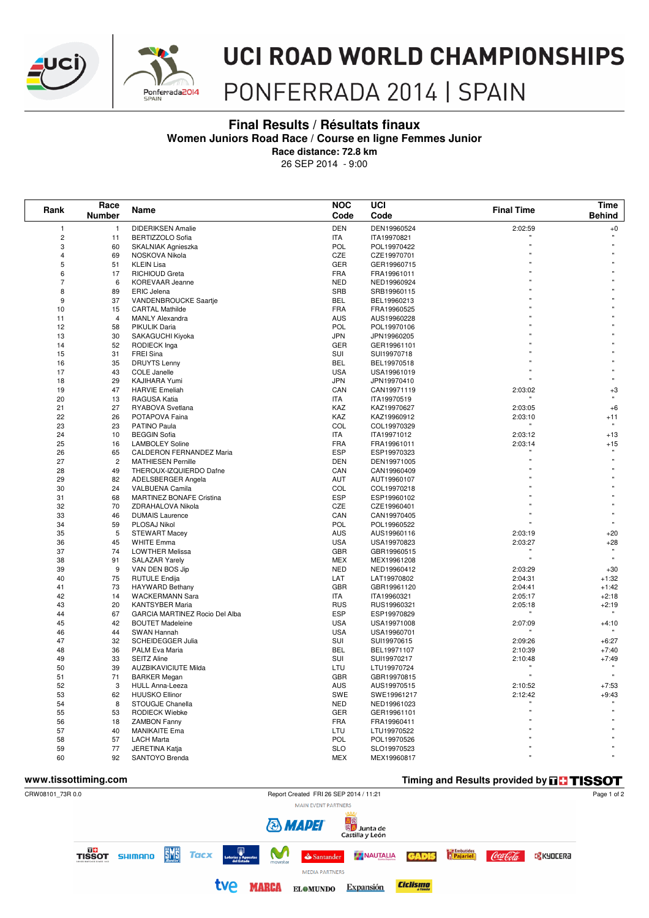



## **UCI ROAD WORLD CHAMPIONSHIPS**

### PONFERRADA 2014 | SPAIN

### **Final Results / Résultats finaux Women Juniors Road Race / Course en ligne Femmes Junior**

**Race distance: 72.8 km**

26 SEP 2014 - 9:00

| Rank           | Race<br><b>Number</b> | Name                                       | <b>NOC</b><br>Code       | UCI<br>Code                | <b>Final Time</b> | <b>Time</b><br><b>Behind</b> |
|----------------|-----------------------|--------------------------------------------|--------------------------|----------------------------|-------------------|------------------------------|
| 1              | $\mathbf{1}$          | <b>DIDERIKSEN Amalie</b>                   | <b>DEN</b>               | DEN19960524                | 2:02:59           | $^{\rm +0}$                  |
| $\overline{2}$ | 11                    | <b>BERTIZZOLO Sofia</b>                    | <b>ITA</b>               | ITA19970821                |                   |                              |
| 3              | 60                    | SKALNIAK Agnieszka                         | POL                      | POL19970422                |                   |                              |
| 4              | 69                    | NOSKOVA Nikola                             | CZE                      | CZE19970701                |                   |                              |
| 5              | 51                    | <b>KLEIN Lisa</b>                          | GER                      | GER19960715                |                   |                              |
| 6              | 17                    | <b>RICHIOUD Greta</b>                      | <b>FRA</b>               | FRA19961011                |                   |                              |
| 7              | 6                     | KOREVAAR Jeanne                            | <b>NED</b>               | NED19960924                |                   |                              |
| 8              | 89                    | <b>ERIC Jelena</b>                         | SRB                      | SRB19960115                |                   |                              |
| 9              | 37                    | VANDENBROUCKE Saartje                      | <b>BEL</b>               | BEL19960213                |                   |                              |
| 10             | 15                    | <b>CARTAL Mathilde</b>                     | <b>FRA</b>               | FRA19960525                |                   |                              |
| 11             | $\overline{4}$        | <b>MANLY Alexandra</b>                     | AUS                      | AUS19960228                |                   |                              |
| 12             | 58                    | PIKULIK Daria                              | POL                      | POL19970106                |                   |                              |
| 13             | 30                    | SAKAGUCHI Kiyoka                           | <b>JPN</b>               | JPN19960205                |                   |                              |
| 14             | 52                    | <b>RODIECK Inga</b>                        | GER                      | GER19961101                |                   |                              |
| 15             | 31                    | <b>FREI Sina</b>                           | SUI<br><b>BEL</b>        | SUI19970718                |                   |                              |
| 16<br>17       | 35<br>43              | <b>DRUYTS Lenny</b><br><b>COLE Janelle</b> | <b>USA</b>               | BEL19970518<br>USA19961019 |                   |                              |
| 18             | 29                    | KAJIHARA Yumi                              | <b>JPN</b>               | JPN19970410                |                   |                              |
| 19             | 47                    | <b>HARVIE Emeliah</b>                      | CAN                      | CAN19971119                | 2:03:02           | $+3$                         |
| 20             | 13                    | RAGUSA Katia                               | <b>ITA</b>               | ITA19970519                |                   |                              |
| 21             | 27                    | RYABOVA Svetlana                           | KAZ                      | KAZ19970627                | 2:03:05           | $+6$                         |
| 22             | 26                    | POTAPOVA Faina                             | KAZ                      | KAZ19960912                | 2:03:10           | $+11$                        |
| 23             | 23                    | PATINO Paula                               | COL                      | COL19970329                |                   | $\mathbf{u}$                 |
| 24             | 10                    | <b>BEGGIN Sofia</b>                        | <b>ITA</b>               | ITA19971012                | 2:03:12           | $+13$                        |
| 25             | 16                    | <b>LAMBOLEY Soline</b>                     | <b>FRA</b>               | FRA19961011                | 2:03:14           | $+15$                        |
| 26             | 65                    | CALDERON FERNANDEZ Maria                   | ESP                      | ESP19970323                |                   |                              |
| 27             | $\overline{c}$        | <b>MATHIESEN Pernille</b>                  | <b>DEN</b>               | DEN19971005                |                   |                              |
| 28             | 49                    | THEROUX-IZQUIERDO Dafne                    | CAN                      | CAN19960409                |                   |                              |
| 29             | 82                    | ADELSBERGER Angela                         | <b>AUT</b>               | AUT19960107                |                   |                              |
| 30             | 24                    | VALBUENA Camila                            | COL                      | COL19970218                |                   |                              |
| 31             | 68                    | <b>MARTINEZ BONAFE Cristina</b>            | ESP                      | ESP19960102                |                   |                              |
| 32             | 70                    | ZDRAHALOVA Nikola                          | CZE                      | CZE19960401                |                   |                              |
| 33             | 46                    | <b>DUMAIS Laurence</b>                     | CAN                      | CAN19970405                |                   |                              |
| 34             | 59                    | PLOSAJ Nikol                               | POL                      | POL19960522                |                   |                              |
| 35             | 5                     | <b>STEWART Macey</b>                       | AUS                      | AUS19960116                | 2:03:19           | $+20$                        |
| 36             | 45                    | <b>WHITE Emma</b>                          | <b>USA</b>               | USA19970823                | 2:03:27           | $+28$                        |
| 37             | 74                    | <b>LOWTHER Melissa</b>                     | GBR                      | GBR19960515                |                   |                              |
| 38             | 91                    | <b>SALAZAR Yarely</b>                      | <b>MEX</b>               | MEX19961208                |                   | $\mathbf{u}$                 |
| 39             | 9                     | VAN DEN BOS Jip                            | <b>NED</b>               | NED19960412                | 2:03:29           | $+30$                        |
| 40             | 75                    | <b>RUTULE Endija</b>                       | LAT                      | LAT19970802                | 2:04:31           | $+1:32$                      |
| 41             | 73                    | <b>HAYWARD Bethany</b>                     | GBR                      | GBR19961120                | 2:04:41           | $+1:42$                      |
| 42             | 14                    | <b>WACKERMANN Sara</b>                     | ITA                      | ITA19960321                | 2:05:17           | $+2:18$                      |
| 43             | 20                    | <b>KANTSYBER Maria</b>                     | <b>RUS</b><br><b>ESP</b> | RUS19960321                | 2:05:18           | $+2:19$                      |
| 44             | 67<br>42              | GARCIA MARTINEZ Rocio Del Alba             | <b>USA</b>               | ESP19970829                |                   |                              |
| 45<br>46       | 44                    | <b>BOUTET Madeleine</b><br>SWAN Hannah     | <b>USA</b>               | USA19971008<br>USA19960701 | 2:07:09           | $+4:10$                      |
| 47             | 32                    | SCHEIDEGGER Julia                          | SUI                      | SUI19970615                | 2:09:26           | $+6:27$                      |
| 48             | 36                    | PALM Eva Maria                             | <b>BEL</b>               | BEL19971107                | 2:10:39           | $+7:40$                      |
| 49             | 33                    | <b>SEITZ Aline</b>                         | SUI                      | SUI19970217                | 2:10:48           | $+7:49$                      |
| 50             | 39                    | <b>AUZBIKAVICIUTE Milda</b>                | LTU                      | LTU19970724                |                   |                              |
| 51             | 71                    | <b>BARKER Megan</b>                        | GBR                      | GBR19970815                |                   |                              |
| 52             | 3                     | <b>HULL Anna-Leeza</b>                     | <b>AUS</b>               | AUS19970515                | 2:10:52           | $+7:53$                      |
| 53             | 62                    | <b>HUUSKO Ellinor</b>                      | SWE                      | SWE19961217                | 2:12:42           | $+9:43$                      |
| 54             | 8                     | STOUGJE Chanella                           | <b>NED</b>               | NED19961023                |                   |                              |
| 55             | 53                    | RODIECK Wiebke                             | GER                      | GER19961101                |                   |                              |
| 56             | 18                    | <b>ZAMBON Fanny</b>                        | <b>FRA</b>               | FRA19960411                |                   |                              |
| 57             | 40                    | <b>MANIKAITE Ema</b>                       | LTU                      | LTU19970522                |                   |                              |
| 58             | 57                    | <b>LACH Marta</b>                          | POL                      | POL19970526                |                   |                              |
| 59             | 77                    | JERETINA Katja                             | <b>SLO</b>               | SLO19970523                |                   |                              |
| 60             | 92                    | SANTOYO Brenda                             | <b>MEX</b>               | MEX19960817                |                   |                              |

#### **WWW.tissottiming.com Timing and Results provided by THISSOT** CRW08101\_73R 0.0 Report Created FRI 26 SEP 2014 / 11:21 Page 1 of 2 MAIN EVENT PARTNERS <mark>日</mark><br>※ Junta de<br>Castilla y León **& MADEI DO**<br>TISSOT SHIMANO **EME Tacx** M **Pajariel** NAUTALIA **GADIS** Coca Cola **B** KYOCERƏ  $\triangle$  Santander **MEDIA PARTNERS** tve marca **Ciclismo** ELOMUNDO Expansión